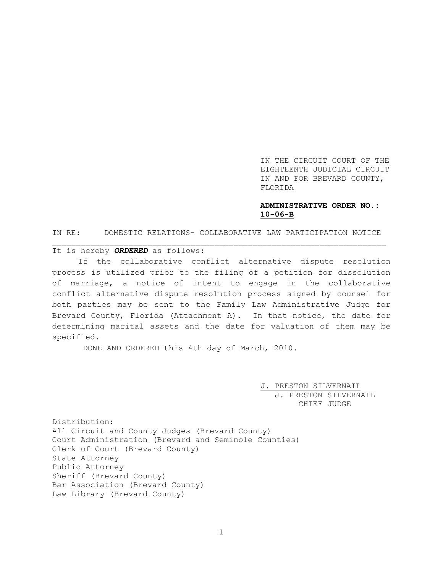IN THE CIRCUIT COURT OF THE EIGHTEENTH JUDICIAL CIRCUIT IN AND FOR BREVARD COUNTY, FLORIDA

## **ADMINISTRATIVE ORDER NO.: 10-06-B**

IN RE: DOMESTIC RELATIONS- COLLABORATIVE LAW PARTICIPATION NOTICE \_\_\_\_\_\_\_\_\_\_\_\_\_\_\_\_\_\_\_\_\_\_\_\_\_\_\_\_\_\_\_\_\_\_\_\_\_\_\_\_\_\_\_\_\_\_\_\_\_\_\_\_\_\_\_\_\_\_\_\_\_\_\_\_\_\_\_\_\_\_

## It is hereby *ORDERED* as follows:

If the collaborative conflict alternative dispute resolution process is utilized prior to the filing of a petition for dissolution of marriage, a notice of intent to engage in the collaborative conflict alternative dispute resolution process signed by counsel for both parties may be sent to the Family Law Administrative Judge for Brevard County, Florida (Attachment A). In that notice, the date for determining marital assets and the date for valuation of them may be specified.

DONE AND ORDERED this 4th day of March, 2010.

J. PRESTON SILVERNAIL J. PRESTON SILVERNAIL CHIEF JUDGE

Distribution: All Circuit and County Judges (Brevard County) Court Administration (Brevard and Seminole Counties) Clerk of Court (Brevard County) State Attorney Public Attorney Sheriff (Brevard County) Bar Association (Brevard County) Law Library (Brevard County)